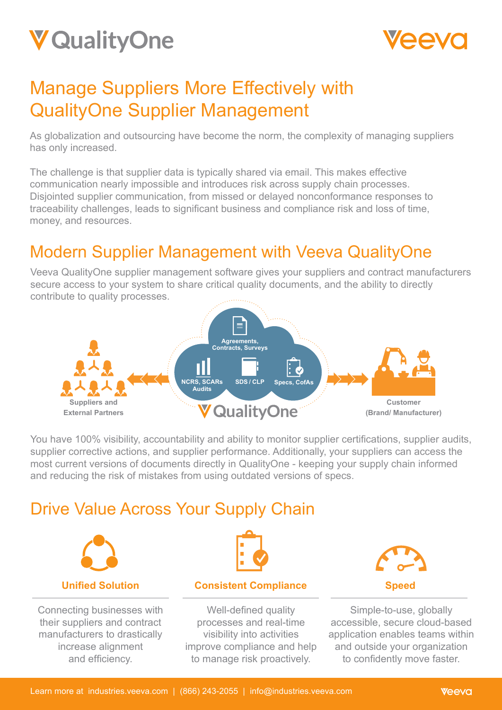



# Manage Suppliers More Effectively with QualityOne Supplier Management

As globalization and outsourcing have become the norm, the complexity of managing suppliers has only increased.

The challenge is that supplier data is typically shared via email. This makes effective communication nearly impossible and introduces risk across supply chain processes. Disjointed supplier communication, from missed or delayed nonconformance responses to traceability challenges, leads to significant business and compliance risk and loss of time, money, and resources.

### Modern Supplier Management with Veeva QualityOne

Veeva QualityOne supplier management software gives your suppliers and contract manufacturers secure access to your system to share critical quality documents, and the ability to directly contribute to quality processes.



You have 100% visibility, accountability and ability to monitor supplier certifications, supplier audits, supplier corrective actions, and supplier performance. Additionally, your suppliers can access the most current versions of documents directly in QualityOne - keeping your supply chain informed and reducing the risk of mistakes from using outdated versions of specs.

### Drive Value Across Your Supply Chain



Connecting businesses with their suppliers and contract manufacturers to drastically increase alignment and efficiency.



#### **Consistent Compliance**

Well-defined quality processes and real-time visibility into activities improve compliance and help to manage risk proactively.



Simple-to-use, globally accessible, secure cloud-based application enables teams within and outside your organization to confidently move faster.